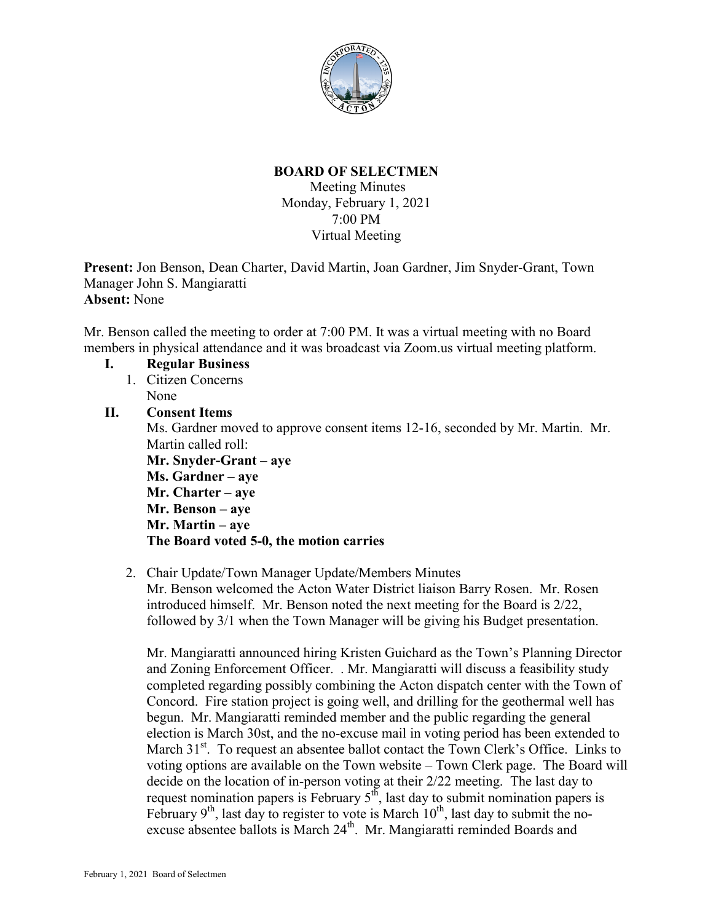

# **BOARD OF SELECTMEN**

Meeting Minutes Monday, February 1, 2021 7:00 PM Virtual Meeting

**Present:** Jon Benson, Dean Charter, David Martin, Joan Gardner, Jim Snyder-Grant, Town Manager John S. Mangiaratti **Absent:** None

Mr. Benson called the meeting to order at 7:00 PM. It was a virtual meeting with no Board members in physical attendance and it was broadcast via Zoom.us virtual meeting platform.

- **I. Regular Business** 1. Citizen Concerns
	- None

# **II. Consent Items**

Ms. Gardner moved to approve consent items 12-16, seconded by Mr. Martin. Mr. Martin called roll:

**Mr. Snyder-Grant – aye Ms. Gardner – aye Mr. Charter – aye Mr. Benson – aye Mr. Martin – aye The Board voted 5-0, the motion carries**

2. Chair Update/Town Manager Update/Members Minutes Mr. Benson welcomed the Acton Water District liaison Barry Rosen. Mr. Rosen introduced himself. Mr. Benson noted the next meeting for the Board is 2/22, followed by 3/1 when the Town Manager will be giving his Budget presentation.

Mr. Mangiaratti announced hiring Kristen Guichard as the Town's Planning Director and Zoning Enforcement Officer. . Mr. Mangiaratti will discuss a feasibility study completed regarding possibly combining the Acton dispatch center with the Town of Concord. Fire station project is going well, and drilling for the geothermal well has begun. Mr. Mangiaratti reminded member and the public regarding the general election is March 30st, and the no-excuse mail in voting period has been extended to March 31<sup>st</sup>. To request an absentee ballot contact the Town Clerk's Office. Links to voting options are available on the Town website – Town Clerk page. The Board will decide on the location of in-person voting at their 2/22 meeting. The last day to request nomination papers is February 5<sup>th</sup>, last day to submit nomination papers is February  $9<sup>th</sup>$ , last day to register to vote is March  $10<sup>th</sup>$ , last day to submit the noexcuse absentee ballots is March 24<sup>th</sup>. Mr. Mangiaratti reminded Boards and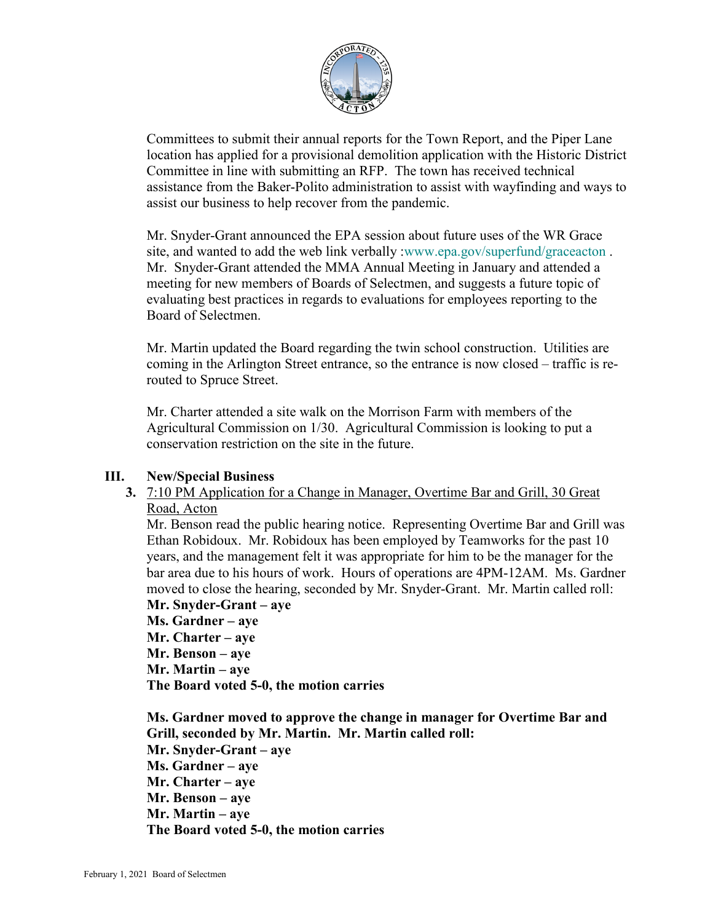

Committees to submit their annual reports for the Town Report, and the Piper Lane location has applied for a provisional demolition application with the Historic District Committee in line with submitting an RFP. The town has received technical assistance from the Baker-Polito administration to assist with wayfinding and ways to assist our business to help recover from the pandemic.

Mr. Snyder-Grant announced the EPA session about future uses of the WR Grace site, and wanted to add the web link verbally [:www.epa.gov/superfund/graceacton](http://www.epa.gov/superfund/graceacton). Mr. Snyder-Grant attended the MMA Annual Meeting in January and attended a meeting for new members of Boards of Selectmen, and suggests a future topic of evaluating best practices in regards to evaluations for employees reporting to the Board of Selectmen.

Mr. Martin updated the Board regarding the twin school construction. Utilities are coming in the Arlington Street entrance, so the entrance is now closed – traffic is rerouted to Spruce Street.

Mr. Charter attended a site walk on the Morrison Farm with members of the Agricultural Commission on 1/30. Agricultural Commission is looking to put a conservation restriction on the site in the future.

## **III. New/Special Business**

## **3.** 7:10 PM Application for a Change in Manager, Overtime Bar and Grill, 30 Great Road, Acton

Mr. Benson read the public hearing notice. Representing Overtime Bar and Grill was Ethan Robidoux. Mr. Robidoux has been employed by Teamworks for the past 10 years, and the management felt it was appropriate for him to be the manager for the bar area due to his hours of work. Hours of operations are 4PM-12AM. Ms. Gardner moved to close the hearing, seconded by Mr. Snyder-Grant. Mr. Martin called roll:

**Mr. Snyder-Grant – aye Ms. Gardner – aye Mr. Charter – aye Mr. Benson – aye Mr. Martin – aye The Board voted 5-0, the motion carries**

**Ms. Gardner moved to approve the change in manager for Overtime Bar and Grill, seconded by Mr. Martin. Mr. Martin called roll: Mr. Snyder-Grant – aye Ms. Gardner – aye Mr. Charter – aye Mr. Benson – aye Mr. Martin – aye The Board voted 5-0, the motion carries**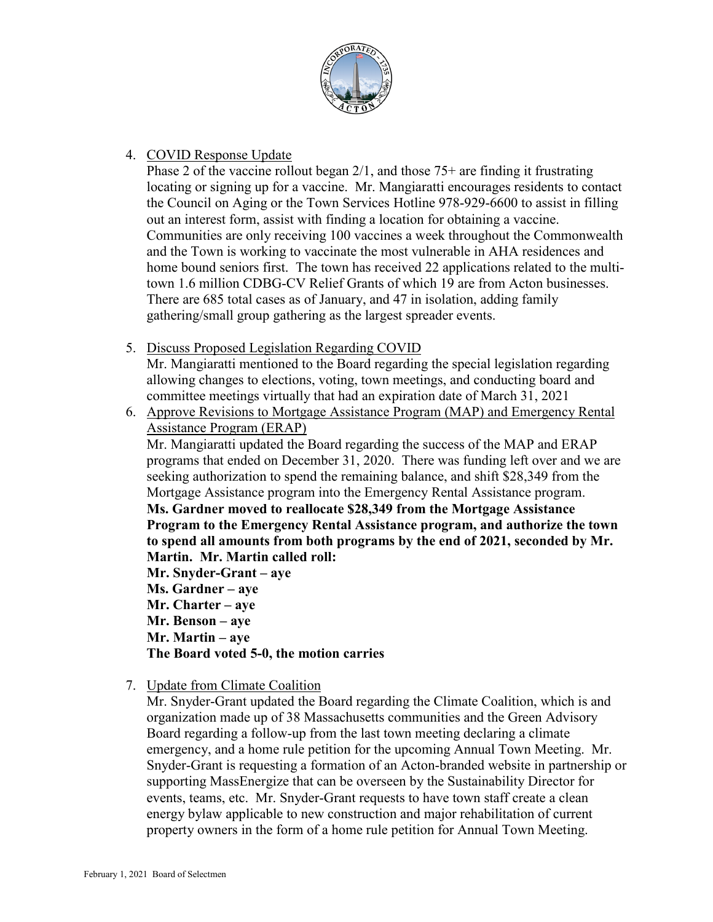

#### 4. COVID Response Update

Phase 2 of the vaccine rollout began 2/1, and those 75+ are finding it frustrating locating or signing up for a vaccine. Mr. Mangiaratti encourages residents to contact the Council on Aging or the Town Services Hotline 978-929-6600 to assist in filling out an interest form, assist with finding a location for obtaining a vaccine. Communities are only receiving 100 vaccines a week throughout the Commonwealth and the Town is working to vaccinate the most vulnerable in AHA residences and home bound seniors first. The town has received 22 applications related to the multitown 1.6 million CDBG-CV Relief Grants of which 19 are from Acton businesses. There are 685 total cases as of January, and 47 in isolation, adding family gathering/small group gathering as the largest spreader events.

5. Discuss Proposed Legislation Regarding COVID

Mr. Mangiaratti mentioned to the Board regarding the special legislation regarding allowing changes to elections, voting, town meetings, and conducting board and committee meetings virtually that had an expiration date of March 31, 2021

6. Approve Revisions to Mortgage Assistance Program (MAP) and Emergency Rental Assistance Program (ERAP)

Mr. Mangiaratti updated the Board regarding the success of the MAP and ERAP programs that ended on December 31, 2020. There was funding left over and we are seeking authorization to spend the remaining balance, and shift \$28,349 from the Mortgage Assistance program into the Emergency Rental Assistance program. **Ms. Gardner moved to reallocate \$28,349 from the Mortgage Assistance Program to the Emergency Rental Assistance program, and authorize the town to spend all amounts from both programs by the end of 2021, seconded by Mr. Martin. Mr. Martin called roll: Mr. Snyder-Grant – aye Ms. Gardner – aye**

**Mr. Charter – aye Mr. Benson – aye Mr. Martin – aye The Board voted 5-0, the motion carries**

7. Update from Climate Coalition

Mr. Snyder-Grant updated the Board regarding the Climate Coalition, which is and organization made up of 38 Massachusetts communities and the Green Advisory Board regarding a follow-up from the last town meeting declaring a climate emergency, and a home rule petition for the upcoming Annual Town Meeting. Mr. Snyder-Grant is requesting a formation of an Acton-branded website in partnership or supporting MassEnergize that can be overseen by the Sustainability Director for events, teams, etc. Mr. Snyder-Grant requests to have town staff create a clean energy bylaw applicable to new construction and major rehabilitation of current property owners in the form of a home rule petition for Annual Town Meeting.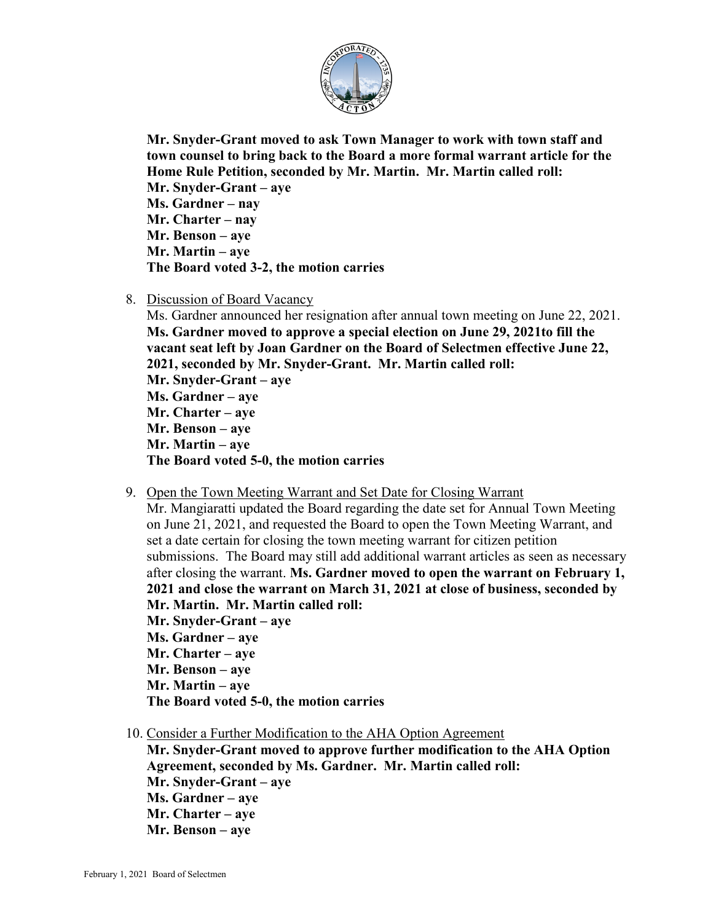

**Mr. Snyder-Grant moved to ask Town Manager to work with town staff and town counsel to bring back to the Board a more formal warrant article for the Home Rule Petition, seconded by Mr. Martin. Mr. Martin called roll: Mr. Snyder-Grant – aye Ms. Gardner – nay Mr. Charter – nay Mr. Benson – aye Mr. Martin – aye The Board voted 3-2, the motion carries**

8. Discussion of Board Vacancy

Ms. Gardner announced her resignation after annual town meeting on June 22, 2021. **Ms. Gardner moved to approve a special election on June 29, 2021to fill the vacant seat left by Joan Gardner on the Board of Selectmen effective June 22, 2021, seconded by Mr. Snyder-Grant. Mr. Martin called roll: Mr. Snyder-Grant – aye Ms. Gardner – aye Mr. Charter – aye Mr. Benson – aye Mr. Martin – aye The Board voted 5-0, the motion carries**

9. Open the Town Meeting Warrant and Set Date for Closing Warrant

Mr. Mangiaratti updated the Board regarding the date set for Annual Town Meeting on June 21, 2021, and requested the Board to open the Town Meeting Warrant, and set a date certain for closing the town meeting warrant for citizen petition submissions. The Board may still add additional warrant articles as seen as necessary after closing the warrant. **Ms. Gardner moved to open the warrant on February 1, 2021 and close the warrant on March 31, 2021 at close of business, seconded by Mr. Martin. Mr. Martin called roll:**

- **Mr. Snyder-Grant – aye Ms. Gardner – aye Mr. Charter – aye Mr. Benson – aye Mr. Martin – aye The Board voted 5-0, the motion carries**
- 10. Consider a Further Modification to the AHA Option Agreement

**Mr. Snyder-Grant moved to approve further modification to the AHA Option Agreement, seconded by Ms. Gardner. Mr. Martin called roll: Mr. Snyder-Grant – aye Ms. Gardner – aye Mr. Charter – aye Mr. Benson – aye**